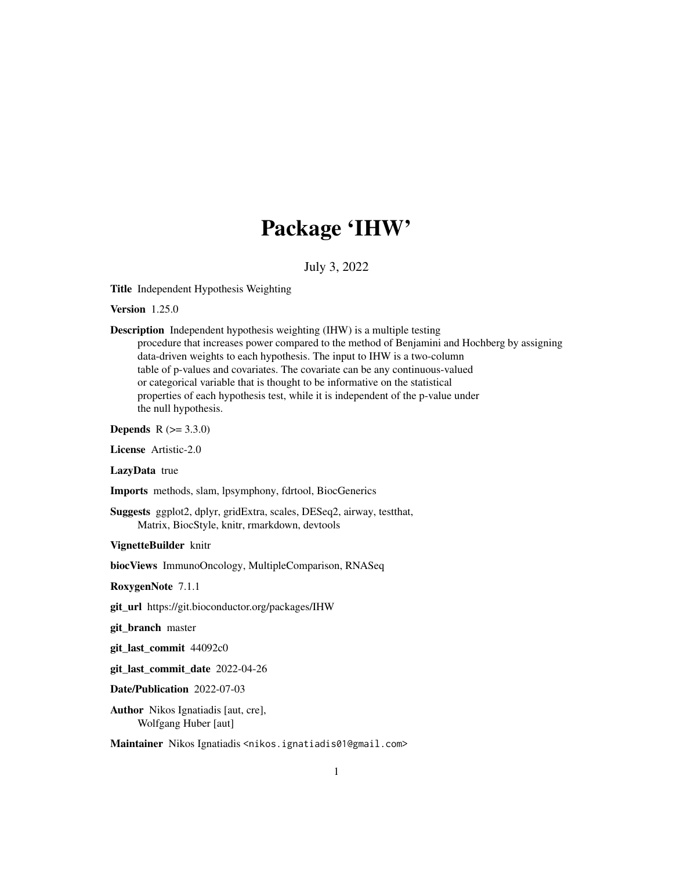# Package 'IHW'

July 3, 2022

<span id="page-0-0"></span>Title Independent Hypothesis Weighting

Version 1.25.0

Description Independent hypothesis weighting (IHW) is a multiple testing procedure that increases power compared to the method of Benjamini and Hochberg by assigning data-driven weights to each hypothesis. The input to IHW is a two-column table of p-values and covariates. The covariate can be any continuous-valued or categorical variable that is thought to be informative on the statistical properties of each hypothesis test, while it is independent of the p-value under the null hypothesis.

**Depends** R  $(>= 3.3.0)$ 

License Artistic-2.0

LazyData true

Imports methods, slam, lpsymphony, fdrtool, BiocGenerics

Suggests ggplot2, dplyr, gridExtra, scales, DESeq2, airway, testthat, Matrix, BiocStyle, knitr, rmarkdown, devtools

VignetteBuilder knitr

biocViews ImmunoOncology, MultipleComparison, RNASeq

RoxygenNote 7.1.1

git\_url https://git.bioconductor.org/packages/IHW

git\_branch master

git\_last\_commit 44092c0

git\_last\_commit\_date 2022-04-26

Date/Publication 2022-07-03

Author Nikos Ignatiadis [aut, cre], Wolfgang Huber [aut]

Maintainer Nikos Ignatiadis <nikos.ignatiadis01@gmail.com>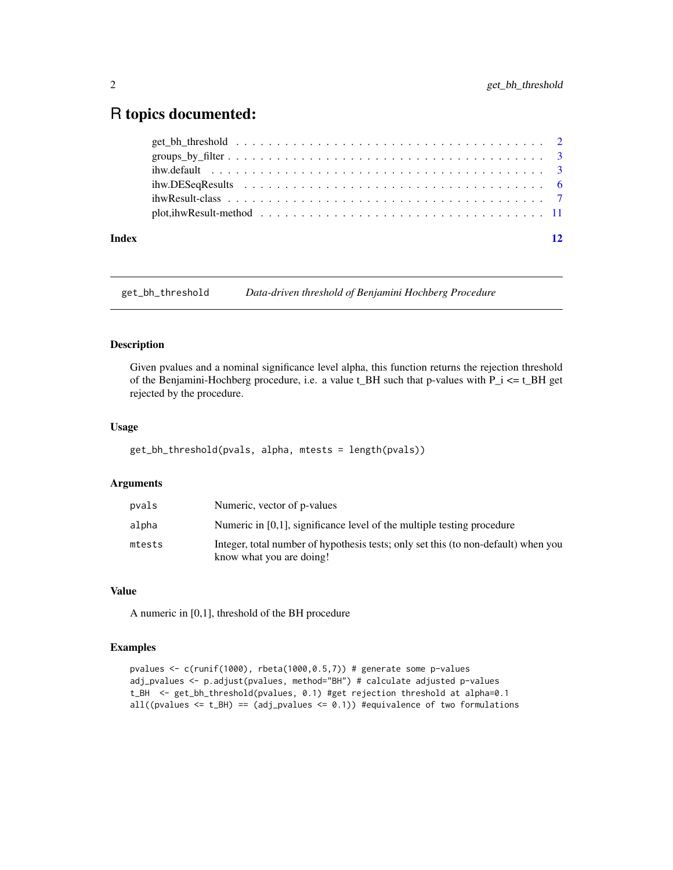# <span id="page-1-0"></span>R topics documented:

| Index | 12 |
|-------|----|
|       |    |
|       |    |
|       |    |
|       |    |
|       |    |
|       |    |

get\_bh\_threshold *Data-driven threshold of Benjamini Hochberg Procedure*

# Description

Given pvalues and a nominal significance level alpha, this function returns the rejection threshold of the Benjamini-Hochberg procedure, i.e. a value t\_BH such that p-values with P\_i <= t\_BH get rejected by the procedure.

#### Usage

```
get_bh_threshold(pvals, alpha, mtests = length(pvals))
```
#### Arguments

| pvals  | Numeric, vector of p-values                                                                                    |
|--------|----------------------------------------------------------------------------------------------------------------|
| alpha  | Numeric in $[0,1]$ , significance level of the multiple testing procedure                                      |
| mtests | Integer, total number of hypothesis tests; only set this (to non-default) when you<br>know what you are doing! |

#### Value

A numeric in [0,1], threshold of the BH procedure

# Examples

```
pvalues <- c(runif(1000), rbeta(1000,0.5,7)) # generate some p-values
adj_pvalues <- p.adjust(pvalues, method="BH") # calculate adjusted p-values
t_BH <- get_bh_threshold(pvalues, 0.1) #get rejection threshold at alpha=0.1
all((pvalues \leq t_BH) == (adj_pvalues \leq 0.1)) #equivalence of two formulations
```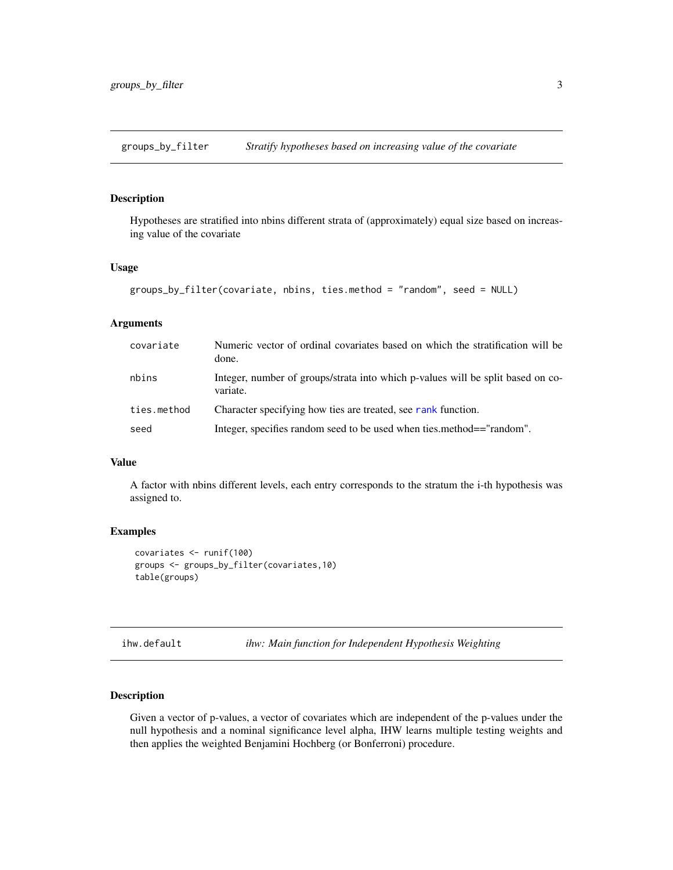<span id="page-2-0"></span>groups\_by\_filter *Stratify hypotheses based on increasing value of the covariate*

### Description

Hypotheses are stratified into nbins different strata of (approximately) equal size based on increasing value of the covariate

#### Usage

```
groups_by_filter(covariate, nbins, ties.method = "random", seed = NULL)
```
#### Arguments

| covariate   | Numeric vector of ordinal covariates based on which the stratification will be<br>done.     |
|-------------|---------------------------------------------------------------------------------------------|
| nbins       | Integer, number of groups/strata into which p-values will be split based on co-<br>variate. |
| ties.method | Character specifying how ties are treated, see rank function.                               |
| seed        | Integer, specifies random seed to be used when ties method=="random".                       |

#### Value

A factor with nbins different levels, each entry corresponds to the stratum the i-th hypothesis was assigned to.

#### Examples

```
covariates <- runif(100)
groups <- groups_by_filter(covariates,10)
table(groups)
```
ihw.default *ihw: Main function for Independent Hypothesis Weighting*

#### Description

Given a vector of p-values, a vector of covariates which are independent of the p-values under the null hypothesis and a nominal significance level alpha, IHW learns multiple testing weights and then applies the weighted Benjamini Hochberg (or Bonferroni) procedure.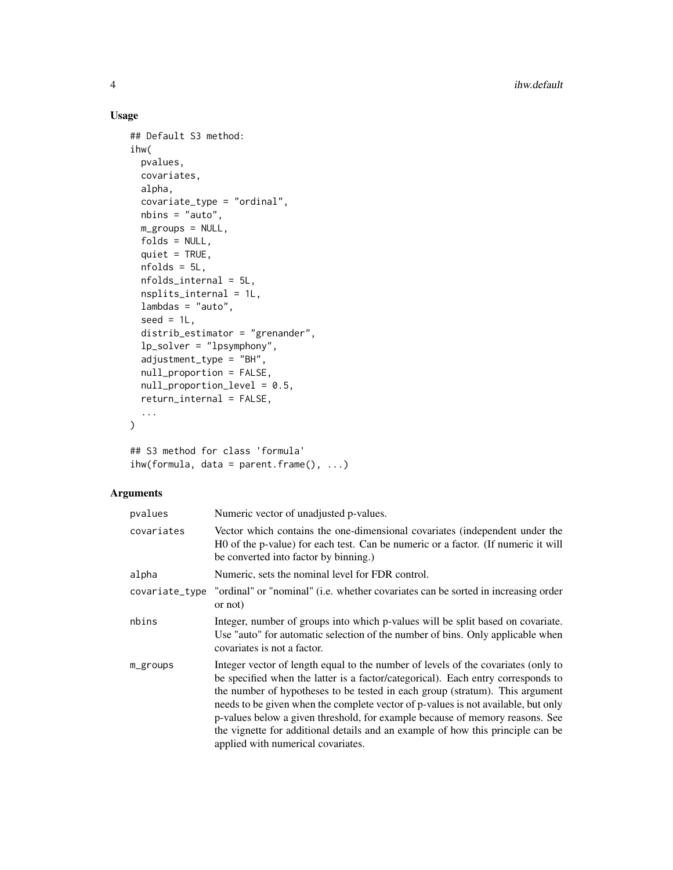#### Usage

```
## Default S3 method:
ihw(
 pvalues,
 covariates,
  alpha,
  covariate_type = "ordinal",
 nbins = "auto",
 m_groups = NULL,
  folds = NULL,
  quiet = TRUE,
 nfolds = 5L,
 nfolds_internal = 5L,
 nsplits_internal = 1L,
  lambdas = "auto",
  seed = 1L,distrib_estimator = "grenander",
  lp_solver = "lpsymphony",
  adjustment_type = "BH",
 null_proportion = FALSE,
 null_proportion_level = 0.5,
  return_internal = FALSE,
  ...
\mathcal{L}
```

```
## S3 method for class 'formula'
ihw(formula, data = parent.frame(), ...)
```
# Arguments

| pvalues        | Numeric vector of unadjusted p-values.                                                                                                                                                                                                                                                                                                                                                                                                                                                                                                              |
|----------------|-----------------------------------------------------------------------------------------------------------------------------------------------------------------------------------------------------------------------------------------------------------------------------------------------------------------------------------------------------------------------------------------------------------------------------------------------------------------------------------------------------------------------------------------------------|
| covariates     | Vector which contains the one-dimensional covariates (independent under the<br>H0 of the p-value) for each test. Can be numeric or a factor. (If numeric it will<br>be converted into factor by binning.)                                                                                                                                                                                                                                                                                                                                           |
| alpha          | Numeric, sets the nominal level for FDR control.                                                                                                                                                                                                                                                                                                                                                                                                                                                                                                    |
| covariate_type | "ordinal" or "nominal" (i.e. whether covariates can be sorted in increasing order<br>or not                                                                                                                                                                                                                                                                                                                                                                                                                                                         |
| nbins          | Integer, number of groups into which p-values will be split based on covariate.<br>Use "auto" for automatic selection of the number of bins. Only applicable when<br>covariates is not a factor.                                                                                                                                                                                                                                                                                                                                                    |
| m_groups       | Integer vector of length equal to the number of levels of the covariates (only to<br>be specified when the latter is a factor/categorical). Each entry corresponds to<br>the number of hypotheses to be tested in each group (stratum). This argument<br>needs to be given when the complete vector of p-values is not available, but only<br>p-values below a given threshold, for example because of memory reasons. See<br>the vignette for additional details and an example of how this principle can be<br>applied with numerical covariates. |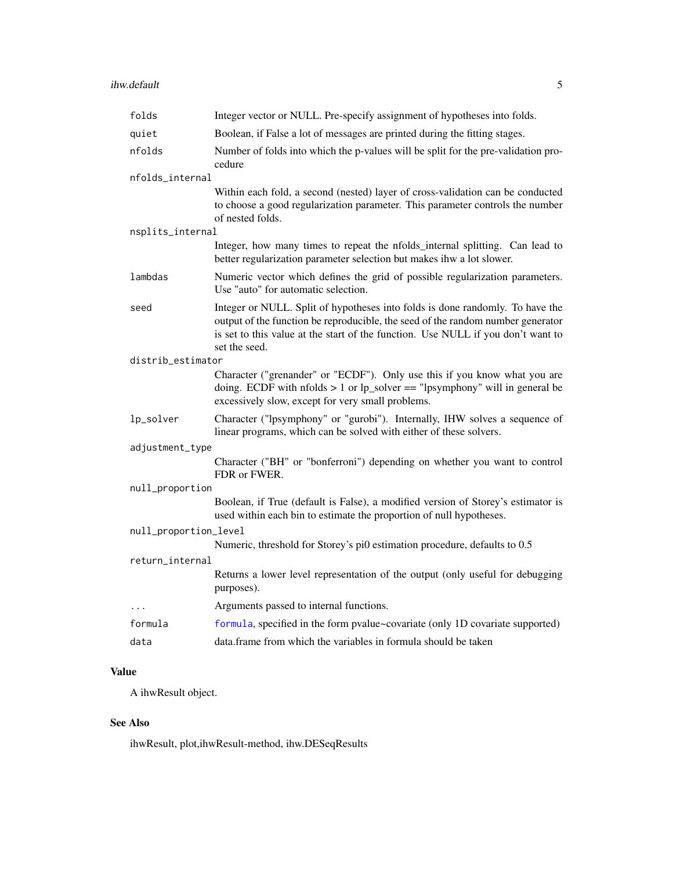<span id="page-4-0"></span>

| folds                 | Integer vector or NULL. Pre-specify assignment of hypotheses into folds.                                                                                                                                                                                              |
|-----------------------|-----------------------------------------------------------------------------------------------------------------------------------------------------------------------------------------------------------------------------------------------------------------------|
| quiet                 | Boolean, if False a lot of messages are printed during the fitting stages.                                                                                                                                                                                            |
| nfolds                | Number of folds into which the p-values will be split for the pre-validation pro-<br>cedure                                                                                                                                                                           |
| nfolds_internal       |                                                                                                                                                                                                                                                                       |
|                       | Within each fold, a second (nested) layer of cross-validation can be conducted<br>to choose a good regularization parameter. This parameter controls the number<br>of nested folds.                                                                                   |
| nsplits_internal      |                                                                                                                                                                                                                                                                       |
|                       | Integer, how many times to repeat the nfolds_internal splitting. Can lead to<br>better regularization parameter selection but makes ihw a lot slower.                                                                                                                 |
| lambdas               | Numeric vector which defines the grid of possible regularization parameters.<br>Use "auto" for automatic selection.                                                                                                                                                   |
| seed                  | Integer or NULL. Split of hypotheses into folds is done randomly. To have the<br>output of the function be reproducible, the seed of the random number generator<br>is set to this value at the start of the function. Use NULL if you don't want to<br>set the seed. |
| distrib_estimator     |                                                                                                                                                                                                                                                                       |
|                       | Character ("grenander" or "ECDF"). Only use this if you know what you are<br>doing. ECDF with nfolds $> 1$ or lp_solver == "lpsymphony" will in general be<br>excessively slow, except for very small problems.                                                       |
| lp_solver             | Character ("lpsymphony" or "gurobi"). Internally, IHW solves a sequence of<br>linear programs, which can be solved with either of these solvers.                                                                                                                      |
| adjustment_type       |                                                                                                                                                                                                                                                                       |
|                       | Character ("BH" or "bonferroni") depending on whether you want to control<br>FDR or FWER.                                                                                                                                                                             |
| null_proportion       |                                                                                                                                                                                                                                                                       |
|                       | Boolean, if True (default is False), a modified version of Storey's estimator is<br>used within each bin to estimate the proportion of null hypotheses.                                                                                                               |
| null_proportion_level |                                                                                                                                                                                                                                                                       |
|                       | Numeric, threshold for Storey's pi0 estimation procedure, defaults to 0.5                                                                                                                                                                                             |
| return_internal       |                                                                                                                                                                                                                                                                       |
|                       | Returns a lower level representation of the output (only useful for debugging<br>purposes).                                                                                                                                                                           |
| $\cdots$              | Arguments passed to internal functions.                                                                                                                                                                                                                               |
| formula               | formula, specified in the form pvalue~covariate (only 1D covariate supported)                                                                                                                                                                                         |
| data                  | data. frame from which the variables in formula should be taken                                                                                                                                                                                                       |

# Value

A ihwResult object.

# See Also

ihwResult, plot,ihwResult-method, ihw.DESeqResults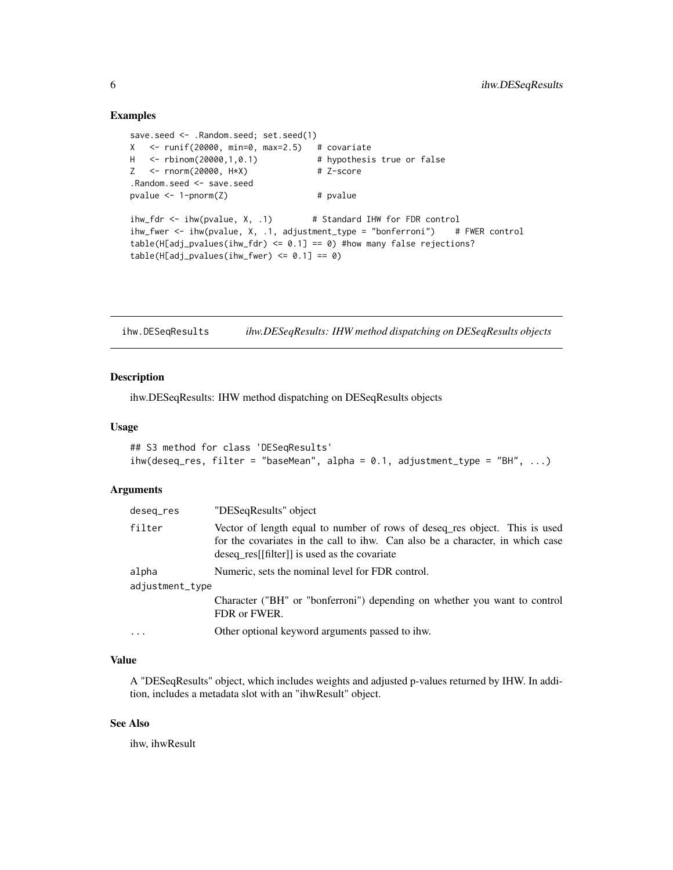#### Examples

```
save.seed <- .Random.seed; set.seed(1)
X <- runif(20000, min=0, max=2.5) # covariate
H <- rbinom(20000,1,0.1) # hypothesis true or false
Z <- rnorm(20000, H*X) # Z-score
.Random.seed <- save.seed
pvalue \leq -1-pnorm(Z) # pvalue
ihw_fdr <- ihw(pvalue, X, .1) # Standard IHW for FDR control
ihw_fwer <- ihw(pvalue, X, .1, adjustment_type = "bonferroni") # FWER control
table(H[adj_pvalues(ihw_fdr) <= 0.1] == 0) #how many false rejections?
table(H[adj_pvalues(ihw_fwer) \le 0.1] == 0)
```
ihw.DESeqResults *ihw.DESeqResults: IHW method dispatching on DESeqResults objects*

#### Description

ihw.DESeqResults: IHW method dispatching on DESeqResults objects

#### Usage

```
## S3 method for class 'DESeqResults'
ihw(deseq_res, filter = "baseMean", alpha = 0.1, adjustment_type = "BH", ...)
```
#### Arguments

| deseq_res       | "DESeqResults" object                                                                                                                                                                                       |
|-----------------|-------------------------------------------------------------------------------------------------------------------------------------------------------------------------------------------------------------|
| filter          | Vector of length equal to number of rows of deseq res object. This is used<br>for the covariates in the call to ihw. Can also be a character, in which case<br>deseq_res[[filter]] is used as the covariate |
| alpha           | Numeric, sets the nominal level for FDR control.                                                                                                                                                            |
| adjustment_type |                                                                                                                                                                                                             |
|                 | Character ("BH" or "bonferroni") depending on whether you want to control<br>FDR or FWER.                                                                                                                   |
| $\cdots$        | Other optional keyword arguments passed to ihw.                                                                                                                                                             |

#### Value

A "DESeqResults" object, which includes weights and adjusted p-values returned by IHW. In addition, includes a metadata slot with an "ihwResult" object.

#### See Also

ihw, ihwResult

<span id="page-5-0"></span>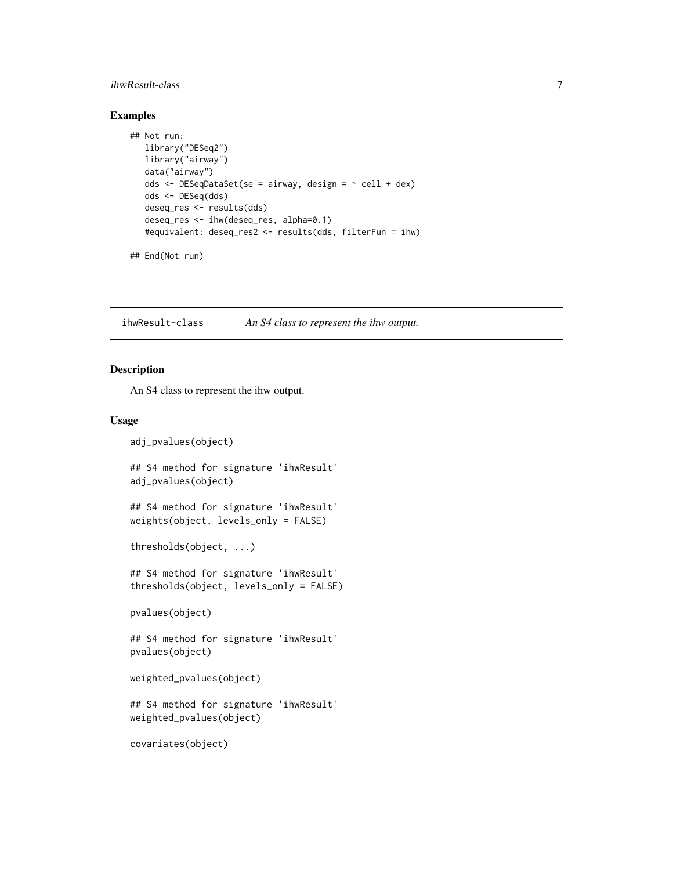### <span id="page-6-0"></span>ihwResult-class 7

#### Examples

```
## Not run:
  library("DESeq2")
  library("airway")
  data("airway")
  dds <- DESeqDataSet(se = airway, design = ~ cell + dex)
  dds <- DESeq(dds)
  deseq_res <- results(dds)
  deseq_res <- ihw(deseq_res, alpha=0.1)
  #equivalent: deseq_res2 <- results(dds, filterFun = ihw)
```

```
## End(Not run)
```
ihwResult-class *An S4 class to represent the ihw output.*

#### Description

An S4 class to represent the ihw output.

#### Usage

```
adj_pvalues(object)
## S4 method for signature 'ihwResult'
adj_pvalues(object)
## S4 method for signature 'ihwResult'
weights(object, levels_only = FALSE)
thresholds(object, ...)
## S4 method for signature 'ihwResult'
thresholds(object, levels_only = FALSE)
pvalues(object)
## S4 method for signature 'ihwResult'
pvalues(object)
weighted_pvalues(object)
## S4 method for signature 'ihwResult'
weighted_pvalues(object)
covariates(object)
```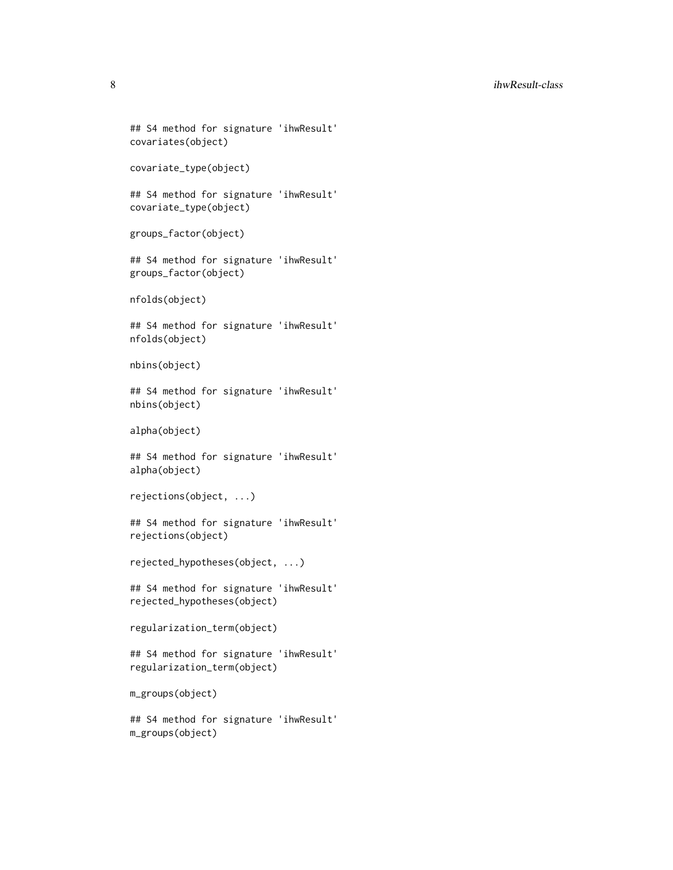#### 8 ihwResult-class

```
## S4 method for signature 'ihwResult'
covariates(object)
covariate_type(object)
## S4 method for signature 'ihwResult'
covariate_type(object)
groups_factor(object)
## S4 method for signature 'ihwResult'
groups_factor(object)
nfolds(object)
## S4 method for signature 'ihwResult'
nfolds(object)
nbins(object)
## S4 method for signature 'ihwResult'
nbins(object)
alpha(object)
## S4 method for signature 'ihwResult'
alpha(object)
rejections(object, ...)
## S4 method for signature 'ihwResult'
rejections(object)
rejected_hypotheses(object, ...)
## S4 method for signature 'ihwResult'
rejected_hypotheses(object)
regularization_term(object)
## S4 method for signature 'ihwResult'
regularization_term(object)
m_groups(object)
## S4 method for signature 'ihwResult'
```
m\_groups(object)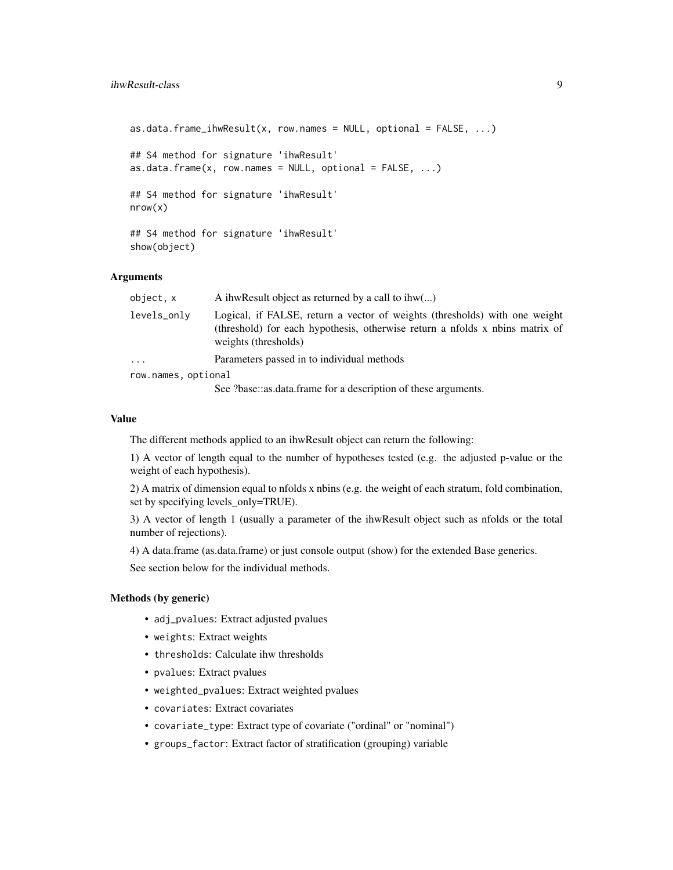```
as.data.frame_ihwResult(x, row.names = NULL, optional = FALSE, ...)
## S4 method for signature 'ihwResult'
as.data.frame(x, row.name = NULL, optional = FALSE, ...)## S4 method for signature 'ihwResult'
nrow(x)
## S4 method for signature 'ihwResult'
show(object)
```
#### Arguments

| object, x           | A ihw Result object as returned by a call to ihw $(\dots)$                                                                                                                         |
|---------------------|------------------------------------------------------------------------------------------------------------------------------------------------------------------------------------|
| levels_only         | Logical, if FALSE, return a vector of weights (thresholds) with one weight<br>(threshold) for each hypothesis, otherwise return a nfolds x nbins matrix of<br>weights (thresholds) |
| $\cdots$            | Parameters passed in to individual methods                                                                                                                                         |
| row.names, optional |                                                                                                                                                                                    |
|                     | See those was data frame for a description of these arguments                                                                                                                      |

See ?base::as.data.frame for a description of these arguments.

#### Value

The different methods applied to an ihwResult object can return the following:

1) A vector of length equal to the number of hypotheses tested (e.g. the adjusted p-value or the weight of each hypothesis).

2) A matrix of dimension equal to nfolds x nbins (e.g. the weight of each stratum, fold combination, set by specifying levels\_only=TRUE).

3) A vector of length 1 (usually a parameter of the ihwResult object such as nfolds or the total number of rejections).

4) A data.frame (as.data.frame) or just console output (show) for the extended Base generics.

See section below for the individual methods.

# Methods (by generic)

- adj\_pvalues: Extract adjusted pvalues
- weights: Extract weights
- thresholds: Calculate ihw thresholds
- pvalues: Extract pvalues
- weighted\_pvalues: Extract weighted pvalues
- covariates: Extract covariates
- covariate\_type: Extract type of covariate ("ordinal" or "nominal")
- groups\_factor: Extract factor of stratification (grouping) variable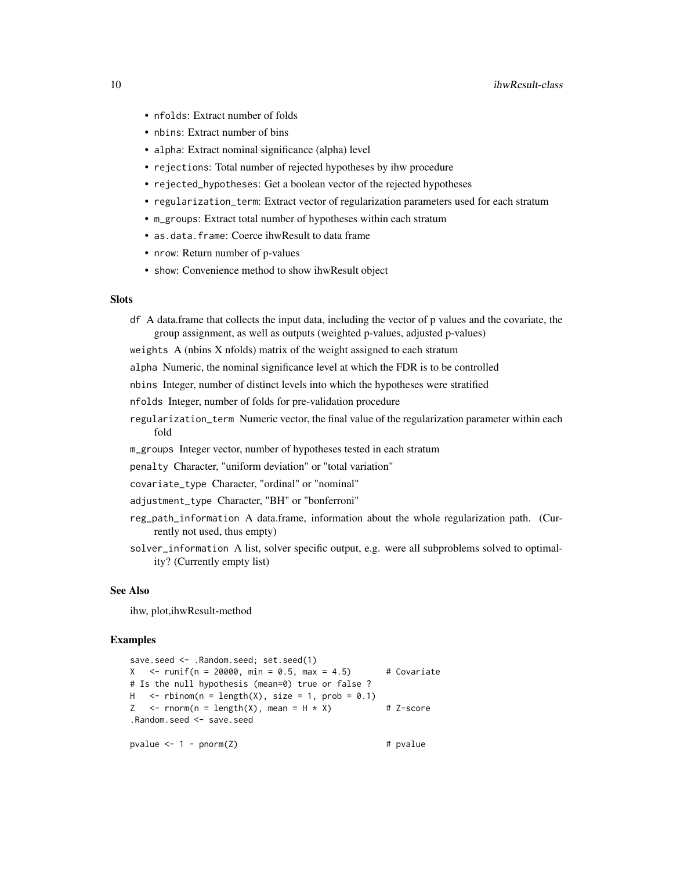- nfolds: Extract number of folds
- nbins: Extract number of bins
- alpha: Extract nominal significance (alpha) level
- rejections: Total number of rejected hypotheses by ihw procedure
- rejected\_hypotheses: Get a boolean vector of the rejected hypotheses
- regularization\_term: Extract vector of regularization parameters used for each stratum
- m\_groups: Extract total number of hypotheses within each stratum
- as.data.frame: Coerce ihwResult to data frame
- nrow: Return number of p-values
- show: Convenience method to show ihwResult object

#### **Slots**

df A data.frame that collects the input data, including the vector of p values and the covariate, the group assignment, as well as outputs (weighted p-values, adjusted p-values)

weights A (nbins X nfolds) matrix of the weight assigned to each stratum

alpha Numeric, the nominal significance level at which the FDR is to be controlled

nbins Integer, number of distinct levels into which the hypotheses were stratified

- nfolds Integer, number of folds for pre-validation procedure
- regularization\_term Numeric vector, the final value of the regularization parameter within each fold
- m\_groups Integer vector, number of hypotheses tested in each stratum
- penalty Character, "uniform deviation" or "total variation"
- covariate\_type Character, "ordinal" or "nominal"
- adjustment\_type Character, "BH" or "bonferroni"
- reg\_path\_information A data.frame, information about the whole regularization path. (Currently not used, thus empty)
- solver\_information A list, solver specific output, e.g. were all subproblems solved to optimality? (Currently empty list)

#### See Also

ihw, plot,ihwResult-method

#### Examples

```
save.seed <- .Random.seed; set.seed(1)
X \le -runif(n = 20000, min = 0.5, max = 4.5) # Covariate
# Is the null hypothesis (mean=0) true or false ?
H \le - rbinom(n = length(X), size = 1, prob = 0.1)
Z \leq -rnorm(n = length(X), mean = H * X) # Z-score
.Random.seed <- save.seed
pvalue <-1 - pnorm(Z) + pvalue + pvalue
```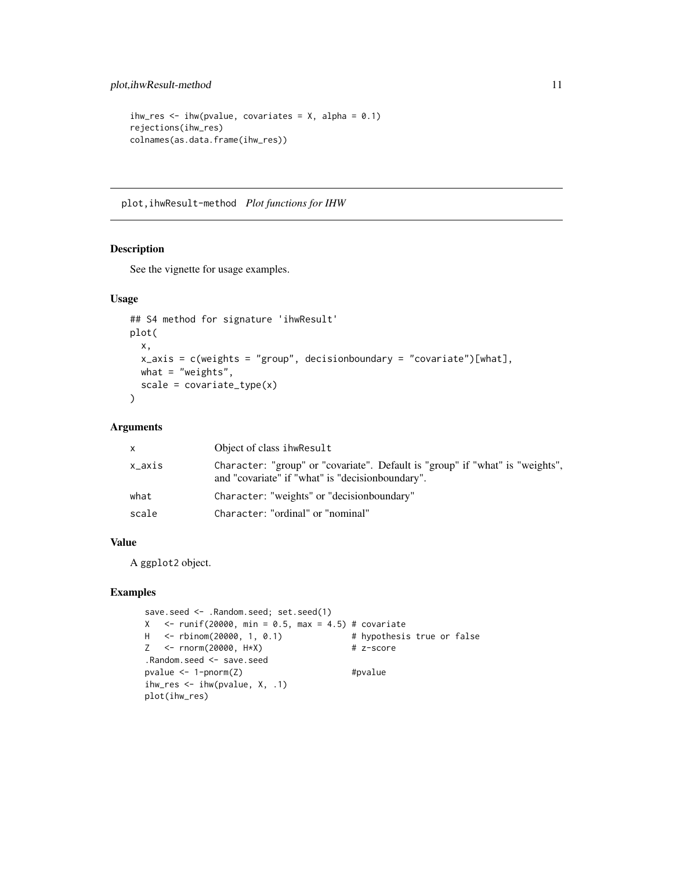```
ihw_res <- ihw(pvalue, covariates = X, alpha = 0.1)
rejections(ihw_res)
colnames(as.data.frame(ihw_res))
```
plot,ihwResult-method *Plot functions for IHW*

#### Description

See the vignette for usage examples.

#### Usage

```
## S4 method for signature 'ihwResult'
plot(
 x,
 x_axis = c(weights = "group", decisionboundary = "covariate")[what],
 what = "weights",
  scale = covariate_type(x)\mathcal{L}
```
# Arguments

| x      | Object of class ihwResult                                                                                                          |
|--------|------------------------------------------------------------------------------------------------------------------------------------|
| x_axis | Character: "group" or "covariate". Default is "group" if "what" is "weights",<br>and "covariate" if "what" is "decision boundary". |
| what   | Character: "weights" or "decisionboundary"                                                                                         |
| scale  | Character: "ordinal" or "nominal"                                                                                                  |

# Value

A ggplot2 object.

# Examples

```
save.seed <- .Random.seed; set.seed(1)
X <- runif(20000, min = 0.5, max = 4.5) # covariate
H <- rbinom(20000, 1, 0.1) # hypothesis true or false
Z <- rnorm(20000, H*X) # z-score
.Random.seed <- save.seed
pvalue \leq -1-pnorm(Z) #pvalue
ihw_res \leq ihw(pvalue, X, .1)
plot(ihw_res)
```